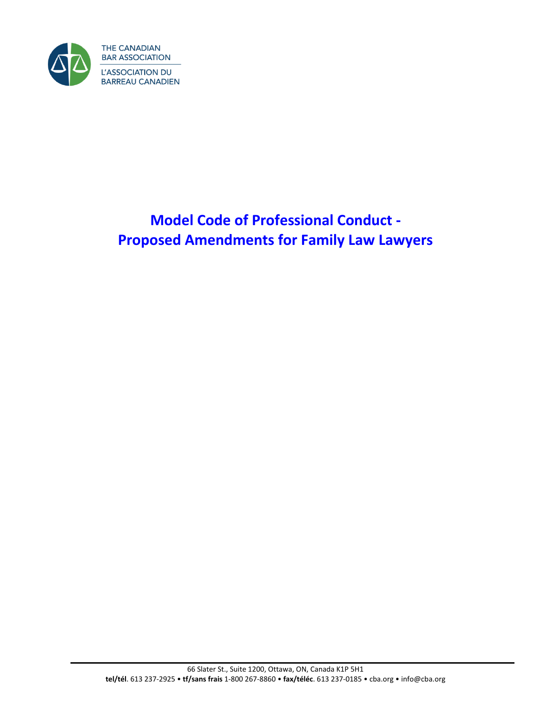

# **Model Code of Professional Conduct - Proposed Amendments for Family Law Lawyers**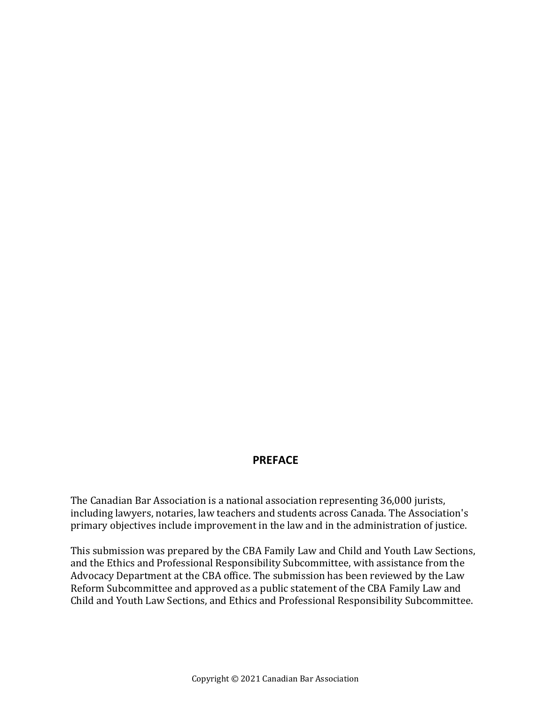## **PREFACE**

The Canadian Bar Association is a national association representing 36,000 jurists, including lawyers, notaries, law teachers and students across Canada. The Association's primary objectives include improvement in the law and in the administration of justice.

This submission was prepared by the CBA Family Law and Child and Youth Law Sections, and the Ethics and Professional Responsibility Subcommittee, with assistance from the Advocacy Department at the CBA office. The submission has been reviewed by the Law Reform Subcommittee and approved as a public statement of the CBA Family Law and Child and Youth Law Sections, and Ethics and Professional Responsibility Subcommittee.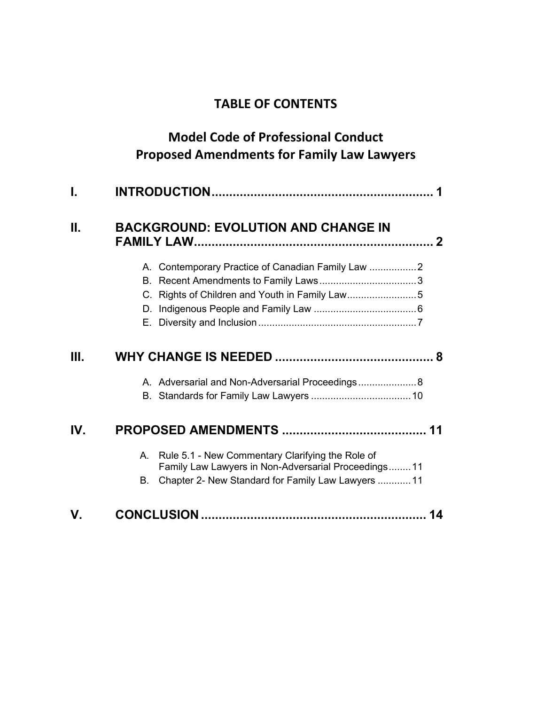## **TABLE OF CONTENTS**

## **Model Code of Professional Conduct Proposed Amendments for Family Law Lawyers**

| I.   |                                                                                                                |
|------|----------------------------------------------------------------------------------------------------------------|
| Н.   | <b>BACKGROUND: EVOLUTION AND CHANGE IN</b>                                                                     |
|      | A. Contemporary Practice of Canadian Family Law                                                                |
|      |                                                                                                                |
|      | C. Rights of Children and Youth in Family Law5                                                                 |
|      |                                                                                                                |
|      |                                                                                                                |
| III. |                                                                                                                |
|      | A. Adversarial and Non-Adversarial Proceedings 8                                                               |
|      |                                                                                                                |
| IV.  |                                                                                                                |
|      | Rule 5.1 - New Commentary Clarifying the Role of<br>А.<br>Family Law Lawyers in Non-Adversarial Proceedings 11 |
|      | Chapter 2- New Standard for Family Law Lawyers  11<br>В.                                                       |
| V.   | 14                                                                                                             |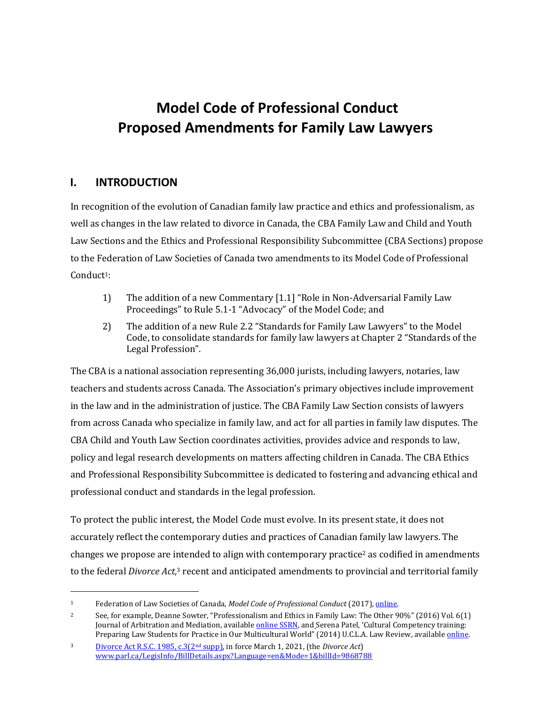# **Model Code of Professional Conduct Proposed Amendments for Family Law Lawyers**

## <span id="page-4-0"></span>**I. INTRODUCTION**

In recognition of the evolution of Canadian family law practice and ethics and professionalism, as well as changes in the law related to divorce in Canada, the CBA Family Law and Child and Youth Law Sections and the Ethics and Professional Responsibility Subcommittee (CBA Sections) propose to the Federation of Law Societies of Canada two amendments to its Model Code of Professional Conduct<sup>1</sup>:

- 1) The addition of a new Commentary [1.1] "Role in Non-Adversarial Family Law Proceedings" to Rule 5.1-1 "Advocacy" of the Model Code; and
- 2) The addition of a new Rule 2.2 "Standards for Family Law Lawyers" to the Model Code, to consolidate standards for family law lawyers at Chapter 2 "Standards of the Legal Profession".

The CBA is a national association representing 36,000 jurists, including lawyers, notaries, law teachers and students across Canada. The Association's primary objectives include improvement in the law and in the administration of justice. The CBA Family Law Section consists of lawyers from across Canada who specialize in family law, and act for all parties in family law disputes. The CBA Child and Youth Law Section coordinates activities, provides advice and responds to law, policy and legal research developments on matters affecting children in Canada. The CBA Ethics and Professional Responsibility Subcommittee is dedicated to fostering and advancing ethical and professional conduct and standards in the legal profession.

To protect the public interest, the Model Code must evolve. In its present state, it does not accurately reflect the contemporary duties and practices of Canadian family law lawyers. The changes we propose are intended to align with contemporary practice<sup>2</sup> as codified in amendments to the federal *Divorce Act*,<sup>3</sup> recent and anticipated amendments to provincial and territorial family

<sup>1</sup> Federation of Law Societies of Canada, *Model Code of Professional Conduct* (2017)[, online.](https://flsc.ca/wp-content/uploads/2018/03/Model-Code-as-amended-March-2017-Final.pdf)

<sup>2</sup> See, for example, Deanne Sowter, "Professionalism and Ethics in Family Law: The Other 90%" (2016) Vol. 6(1) Journal of Arbitration and Mediation, availabl[e online SSRN,](https://papers.ssrn.com/sol3/papers.cfm?abstract_id=2919659) and Serena Patel, 'Cultural Competency training: Preparing Law Students for Practice in Our Multicultural World" (2014) U.C.L.A. Law Review, available *online*.

<sup>3</sup> [Divorce Act](file:///C:/Users/shounsellgray.BLACKBURNLAW/Desktop/Model%20code%20project/Divorce%20Act) R.S.C. 1985, c.3(2nd supp), in force March 1, 2021, (the *Divorce Act*) [www.parl.ca/LegisInfo/BillDetails.aspx?Language=en&Mode=1&billId=9868788](http://www.parl.ca/LegisInfo/BillDetails.aspx?Language=en&Mode=1&billId=9868788)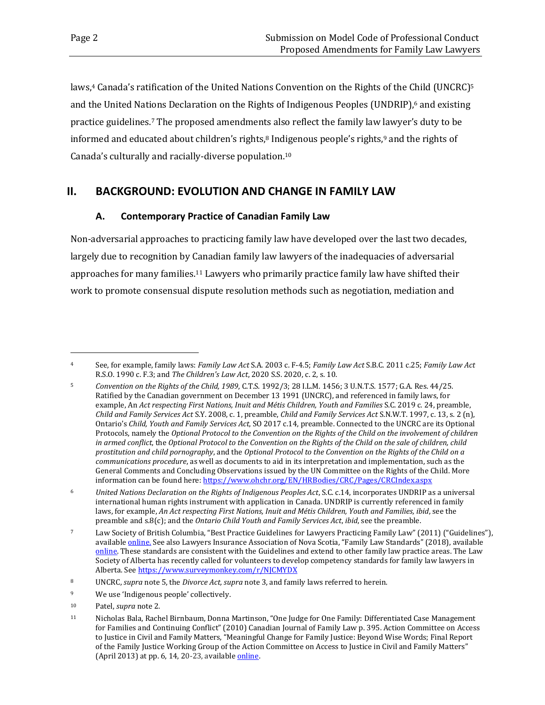laws,<sup>4</sup> Canada's ratification of the United Nations Convention on the Rights of the Child (UNCRC)<sup>5</sup> and the United Nations Declaration on the Rights of Indigenous Peoples (UNDRIP),<sup>6</sup> and existing practice guidelines. <sup>7</sup> The proposed amendments also reflect the family law lawyer's duty to be informed and educated about children's rights, <sup>8</sup> Indigenous people's rights, <sup>9</sup> and the rights of Canada's culturally and racially-diverse population.<sup>10</sup>

## <span id="page-5-0"></span>**II. BACKGROUND: EVOLUTION AND CHANGE IN FAMILY LAW**

#### **A. Contemporary Practice of Canadian Family Law**

<span id="page-5-1"></span>Non-adversarial approaches to practicing family law have developed over the last two decades, largely due to recognition by Canadian family law lawyers of the inadequacies of adversarial approaches for many families.<sup>11</sup> Lawyers who primarily practice family law have shifted their work to promote consensual dispute resolution methods such as negotiation, mediation and

<sup>4</sup> See, for example, family laws: *Family Law Act* S.A. 2003 c. F-4.5; *Family Law Act* S.B.C. 2011 c.25; *Family Law Act* R.S.O. 1990 c. F.3; and *The Children's Law Act*, 2020 S.S. 2020, c. 2, s. 10.

<sup>5</sup> *Convention on the Rights of the Child, 1989*, C.T.S. 1992/3; 28 I.L.M. 1456; 3 U.N.T.S. 1577; G.A. Res. 44/25. Ratified by the Canadian government on December 13 1991 (UNCRC), and referenced in family laws, for example, An *Act respecting First Nations, Inuit and Métis Children, Youth and Families* S.C. 2019 c. 24, preamble, *Child and Family Services Act* S.Y. 2008, c. 1, preamble, *Child and Family Services Act* S.N.W.T. 1997, c. 13, s. 2 (n), Ontario's *Child, Youth and Family Services Act*, SO 2017 c.14, preamble. Connected to the UNCRC are its Optional Protocols, namely the *Optional Protocol to the Convention on the Rights of the Child on the involvement of children in armed conflict*, the *Optional Protocol to the Convention on the Rights of the Child on the sale of children, child prostitution and child pornography*, and the *Optional Protocol to the Convention on the Rights of the Child on a communications procedure*, as well as documents to aid in its interpretation and implementation, such as the General Comments and Concluding Observations issued by the UN Committee on the Rights of the Child. More information can be found here[: https://www.ohchr.org/EN/HRBodies/CRC/Pages/CRCIndex.aspx](https://can01.safelinks.protection.outlook.com/?url=https%3A%2F%2Fwww.ohchr.org%2FEN%2FHRBodies%2FCRC%2FPages%2FCRCIndex.aspx&data=04%7C01%7Ccaterina.tempesta%40ontario.ca%7Cc3a59ad456654b41758308d96bc2265b%7Ccddc1229ac2a4b97b78a0e5cacb5865c%7C0%7C0%7C637659303883283646%7CUnknown%7CTWFpbGZsb3d8eyJWIjoiMC4wLjAwMDAiLCJQIjoiV2luMzIiLCJBTiI6Ik1haWwiLCJXVCI6Mn0%3D%7C1000&sdata=yhCVAa8ej5YcJYVF4AY4wXY78qxOIL2oUl9N6SWuCu4%3D&reserved=0)

<sup>6</sup> *United Nations Declaration on the Rights of Indigenous Peoples Act*, S.C. c.14, incorporates UNDRIP as a universal international human rights instrument with application in Canada. UNDRIP is currently referenced in family laws, for example, *An Act respecting First Nations, Inuit and Métis Children, Youth and Families, ibid*, see the preamble and s.8(c); and the *Ontario Child Youth and Family Services Act*, *ibid*, see the preamble.

<sup>7</sup> Law Society of British Columbia, "Best Practice Guidelines for Lawyers Practicing Family Law" (2011) ("Guidelines"), availabl[e online.](https://www.lawsociety.bc.ca/Website/media/Shared/docs/practice/resources/guidelines_family.pdf) See also Lawyers Insurance Association of Nova Scotia, "Family Law Standards" (2018), available [online.](https://www.lians.ca/standards/family-law-standards) These standards are consistent with the Guidelines and extend to other family law practice areas. The Law Society of Alberta has recently called for volunteers to develop competency standards for family law lawyers in Alberta. Se[e https://www.surveymonkey.com/r/NJCMYDX](https://www.surveymonkey.com/r/NJCMYDX)

<sup>8</sup> UNCRC, *supra* note 5, the *Divorce Act, supra* note 3, and family laws referred to herein.

<sup>9</sup> We use 'Indigenous people' collectively.

<sup>10</sup> Patel, *supra* note 2.

<sup>11</sup> Nicholas Bala, Rachel Birnbaum, Donna Martinson, "One Judge for One Family: Differentiated Case Management for Families and Continuing Conflict" (2010) Canadian Journal of Family Law p. 395. Action Committee on Access to Justice in Civil and Family Matters, "Meaningful Change for Family Justice: Beyond Wise Words; Final Report of the Family Justice Working Group of the Action Committee on Access to Justice in Civil and Family Matters" (April 2013) at pp. 6, 14, 20-23, available *online*.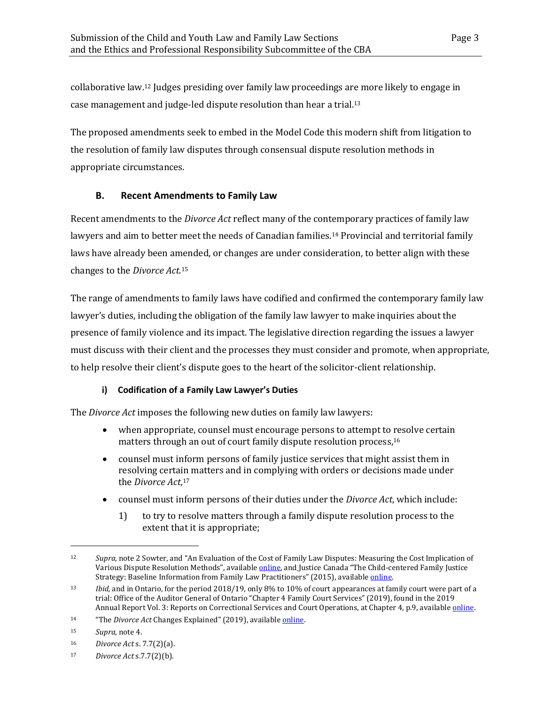collaborative law. <sup>12</sup> Judges presiding over family law proceedings are more likely to engage in case management and judge-led dispute resolution than hear a trial.<sup>13</sup>

The proposed amendments seek to embed in the Model Code this modern shift from litigation to the resolution of family law disputes through consensual dispute resolution methods in appropriate circumstances.

### <span id="page-6-0"></span>**B. Recent Amendments to Family Law**

Recent amendments to the *Divorce Act* reflect many of the contemporary practices of family law lawyers and aim to better meet the needs of Canadian families. <sup>14</sup> Provincial and territorial family laws have already been amended, or changes are under consideration, to better align with these changes to the *Divorce Act*. 15

The range of amendments to family laws have codified and confirmed the contemporary family law lawyer's duties, including the obligation of the family law lawyer to make inquiries about the presence of family violence and its impact. The legislative direction regarding the issues a lawyer must discuss with their client and the processes they must consider and promote, when appropriate, to help resolve their client's dispute goes to the heart of the solicitor-client relationship.

### **i) Codification of a Family Law Lawyer's Duties**

The *Divorce Act* imposes the following new duties on family law lawyers:

- when appropriate, counsel must encourage persons to attempt to resolve certain matters through an out of court family dispute resolution process, 16
- counsel must inform persons of family justice services that might assist them in resolving certain matters and in complying with orders or decisions made under the *Divorce Act,*<sup>17</sup>
- counsel must inform persons of their duties under the *Divorce Act*, which include:
	- 1) to try to resolve matters through a family dispute resolution process to the extent that it is appropriate;

<sup>12</sup> *Supra*, note 2 Sowter, and "An Evaluation of the Cost of Family Law Disputes: Measuring the Cost Implication of Various Dispute Resolution Methods", available [online,](https://prism.ucalgary.ca/handle/1880/107586) and Justice Canada "The Child-centered Family Justice Strategy: Baseline Information from Family Law Practitioners" (2015), availabl[e online.](https://www.justice.gc.ca/eng/rp-pr/fl-lf/famil/biflp-dbpdf/p2.html)

<sup>13</sup> *Ibid,* and in Ontario, for the period 2018/19, only 8% to 10% of court appearances at family court were part of a trial: Office of the Auditor General of Ontario "Chapter 4 Family Court Services" (2019), found in the 2019 Annual Report Vol. 3: Reports on Correctional Services and Court Operations, at Chapter 4, p.9, available *online*.

<sup>14</sup> "The *Divorce Act* Changes Explained" (2019), availabl[e online.](https://www.justice.gc.ca/eng/fl-df/cfl-mdf/dace-clde/index.html)

<sup>15</sup> *Supra*, note 4.

<sup>16</sup> *Divorce Act* s. 7.7(2)(a).

<sup>17</sup> *Divorce Act* s.7.7(2)(b).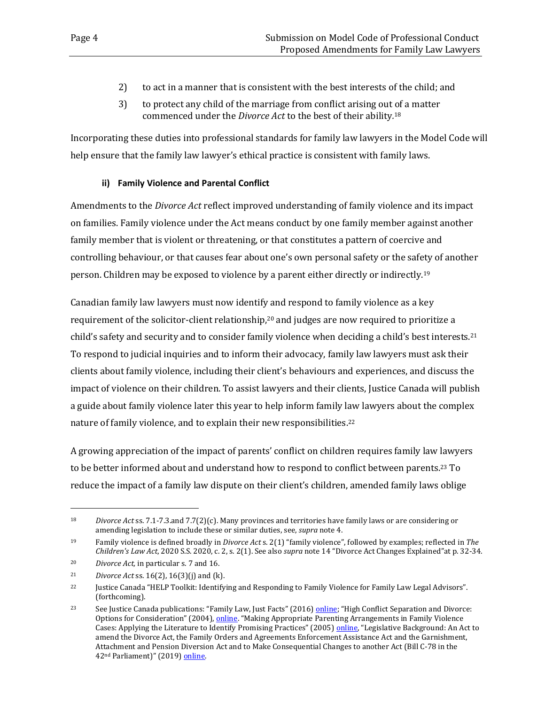- 2) to act in a manner that is consistent with the best interests of the child; and
- 3) to protect any child of the marriage from conflict arising out of a matter commenced under the *Divorce Act* to the best of their ability*.* 18

Incorporating these duties into professional standards for family law lawyers in the Model Code will help ensure that the family law lawyer's ethical practice is consistent with family laws.

#### **ii) Family Violence and Parental Conflict**

Amendments to the *Divorce Act* reflect improved understanding of family violence and its impact on families. Family violence under the Act means conduct by one family member against another family member that is violent or threatening, or that constitutes a pattern of coercive and controlling behaviour, or that causes fear about one's own personal safety or the safety of another person. Children may be exposed to violence by a parent either directly or indirectly.<sup>19</sup>

Canadian family law lawyers must now identify and respond to family violence as a key requirement of the solicitor-client relationship, <sup>20</sup> and judges are now required to prioritize a child's safety and security and to consider family violence when deciding a child's best interests.<sup>21</sup> To respond to judicial inquiries and to inform their advocacy, family law lawyers must ask their clients about family violence, including their client's behaviours and experiences, and discuss the impact of violence on their children. To assist lawyers and their clients, Justice Canada will publish a guide about family violence later this year to help inform family law lawyers about the complex nature of family violence, and to explain their new responsibilities.<sup>22</sup>

A growing appreciation of the impact of parents' conflict on children requires family law lawyers to be better informed about and understand how to respond to conflict between parents. <sup>23</sup> To reduce the impact of a family law dispute on their client's children, amended family laws oblige

<sup>18</sup> *Divorce Act* ss. 7.1-7.3.and 7.7(2)(c). Many provinces and territories have family laws or are considering or amending legislation to include these or similar duties, see, *supra* note 4.

<sup>19</sup> Family violence is defined broadly in *Divorce Act* s. 2(1) "family violence", followed by examples; reflected in *The Children's Law Act*, 2020 S.S. 2020, c. 2, s. 2(1). See also *supra* note 14 "Divorce Act Changes Explained"at p. 32-34.

<sup>20</sup> *Divorce Act,* in particular s. 7 and 16.

<sup>21</sup> *Divorce Act* ss. 16(2), 16(3)(j) and (k).

<sup>22</sup> Justice Canada "HELP Toolkit: Identifying and Responding to Family Violence for Family Law Legal Advisors". (forthcoming).

<sup>&</sup>lt;sup>23</sup> See Justice Canada publications: "Family Law, Just Facts" (2016) [online;](https://www.justice.gc.ca/eng/rp-pr/fl-lf/divorce/jf-pf/srl-pnr.html) "High Conflict Separation and Divorce: Options for Consideration" (2004), [online](https://www.justice.gc.ca/eng/rp-pr/fl-lf/divorce/2004_1/p3.html). "Making Appropriate Parenting Arrangements in Family Violence Cases: Applying the Literature to Identify Promising Practices" (2005) [online](https://www.justice.gc.ca/eng/rp-pr/fl-lf/parent/2005_3/index.html), "Legislative Background: An Act to amend the Divorce Act, the Family Orders and Agreements Enforcement Assistance Act and the Garnishment, Attachment and Pension Diversion Act and to Make Consequential Changes to another Act (Bill C-78 in the 42<sup>nd</sup> Parliament)" (2019) [online.](https://www.justice.gc.ca/eng/rp-pr/fl-lf/famil/c78/03.html)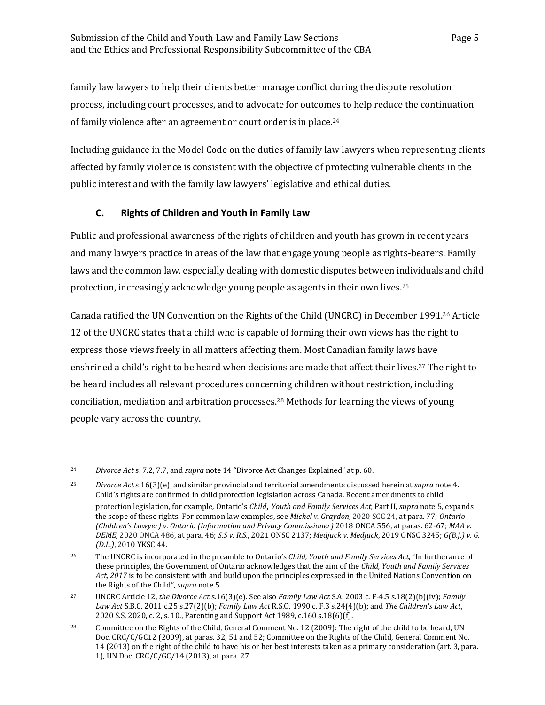family law lawyers to help their clients better manage conflict during the dispute resolution process, including court processes, and to advocate for outcomes to help reduce the continuation of family violence after an agreement or court order is in place.<sup>24</sup>

Including guidance in the Model Code on the duties of family law lawyers when representing clients affected by family violence is consistent with the objective of protecting vulnerable clients in the public interest and with the family law lawyers' legislative and ethical duties.

## <span id="page-8-0"></span>**C. Rights of Children and Youth in Family Law**

Public and professional awareness of the rights of children and youth has grown in recent years and many lawyers practice in areas of the law that engage young people as rights-bearers. Family laws and the common law, especially dealing with domestic disputes between individuals and child protection, increasingly acknowledge young people as agents in their own lives.<sup>25</sup>

Canada ratified the UN Convention on the Rights of the Child (UNCRC) in December 1991.<sup>26</sup> Article 12 of the UNCRC states that a child who is capable of forming their own views has the right to express those views freely in all matters affecting them. Most Canadian family laws have enshrined a child's right to be heard when decisions are made that affect their lives.<sup>27</sup> The right to be heard includes all relevant procedures concerning children without restriction, including conciliation, mediation and arbitration processes.<sup>28</sup> Methods for learning the views of young people vary across the country.

<sup>24</sup> *Divorce Act* s. 7.2, 7.7, and *supra* note 14 "Divorce Act Changes Explained" at p. 60.

<sup>25</sup> *Divorce Act* s.16(3)(e), and similar provincial and territorial amendments discussed herein at *supra* note 4. Child's rights are confirmed in child protection legislation across Canada. Recent amendments to child protection legislation, for example, Ontario's *Child, Youth and Family Services Act,* Part II, *supra* note 5, expands the scope of these rights. For common law examples, see *Michel v. Graydon*, 2020 SCC 24, at para. 77; *Ontario (Children's Lawyer) v. Ontario (Information and Privacy Commissioner)* 2018 ONCA 556, at paras. 62-67; *MAA v. DEME,* 2020 ONCA 486, at para. 46; *S.S v. R.S.*, 2021 ONSC 2137; *Medjuck v. Medjuck*, 2019 ONSC 3245; *G(B.J.) v. G. (D.L.)*, 2010 YKSC 44.

<sup>26</sup> The UNCRC is incorporated in the preamble to Ontario's *Child, Youth and Family Services Act*, "In furtherance of these principles, the Government of Ontario acknowledges that the aim of the *Child, Youth and Family Services Act, 2017* is to be consistent with and build upon the principles expressed in the United Nations Convention on the Rights of the Child", *supra* note 5.

<sup>27</sup> UNCRC Article 12, *the Divorce Act* s.16(3)(e). See also *Family Law Act* S.A. 2003 c. F-4.5 s.18(2)(b)(iv); *Family Law Act* S.B.C. 2011 c.25 s.27(2)(b); *Family Law Act* R.S.O. 1990 c. F.3 s.24(4)(b); and *The Children's Law Act*, 2020 S.S. 2020, c. 2, s. 10., Parenting and Support Act 1989, c.160 s.18(6)(f).

<sup>&</sup>lt;sup>28</sup> Committee on the Rights of the Child, General Comment No. 12 (2009): The right of the child to be heard, UN Doc. CRC/C/GC12 (2009), at paras. 32, 51 and 52; Committee on the Rights of the Child, General Comment No. 14 (2013) on the right of the child to have his or her best interests taken as a primary consideration (art. 3, para. 1), UN Doc. CRC/C/GC/14 (2013), at para. 27.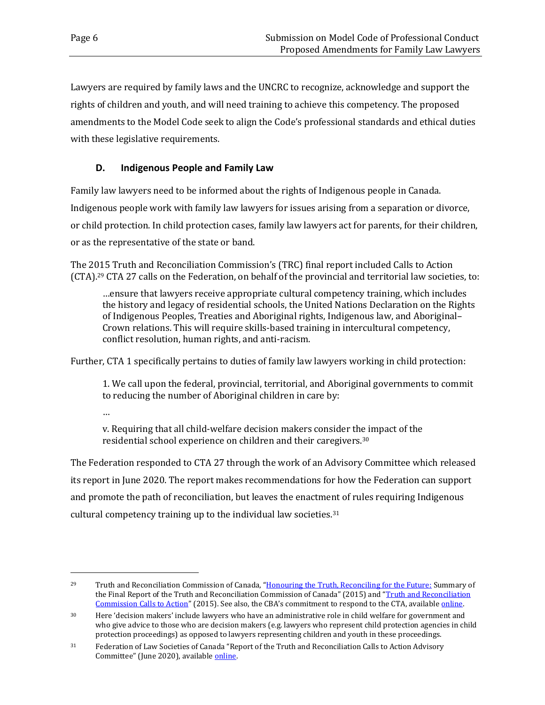Lawyers are required by family laws and the UNCRC to recognize, acknowledge and support the rights of children and youth, and will need training to achieve this competency. The proposed amendments to the Model Code seek to align the Code's professional standards and ethical duties with these legislative requirements.

## <span id="page-9-0"></span>**D. Indigenous People and Family Law**

Family law lawyers need to be informed about the rights of Indigenous people in Canada. Indigenous people work with family law lawyers for issues arising from a separation or divorce, or child protection. In child protection cases, family law lawyers act for parents, for their children, or as the representative of the state or band.

The 2015 Truth and Reconciliation Commission's (TRC) final report included Calls to Action (CTA). <sup>29</sup> CTA 27 calls on the Federation, on behalf of the provincial and territorial law societies, to:

…ensure that lawyers receive appropriate cultural competency training, which includes the history and legacy of residential schools, the United Nations Declaration on the Rights of Indigenous Peoples, Treaties and Aboriginal rights, Indigenous law, and Aboriginal– Crown relations. This will require skills-based training in intercultural competency, conflict resolution, human rights, and anti-racism.

Further, CTA 1 specifically pertains to duties of family law lawyers working in child protection:

1. We call upon the federal, provincial, territorial, and Aboriginal governments to commit to reducing the number of Aboriginal children in care by:

…

v. Requiring that all child-welfare decision makers consider the impact of the residential school experience on children and their caregivers.<sup>30</sup>

The Federation responded to CTA 27 through the work of an Advisory Committee which released its report in June 2020. The report makes recommendations for how the Federation can support and promote the path of reconciliation, but leaves the enactment of rules requiring Indigenous cultural competency training up to the individual law societies.<sup>31</sup>

<sup>&</sup>lt;sup>29</sup> Truth and Reconciliation Commission of Canada, "[Honouring the Truth, Reconciling for the Future:](https://ehprnh2mwo3.exactdn.com/wp-content/uploads/2021/01/Executive_Summary_English_Web.pdf) Summary of the Final Report of the Truth and Reconciliation Commission of Canada" (2015) and "[Truth and Reconciliation](https://www2.gov.bc.ca/assets/gov/british-columbians-our-governments/indigenous-people/aboriginal-peoples-documents/calls_to_action_english2.pdf)  [Commission Calls to Action](https://www2.gov.bc.ca/assets/gov/british-columbians-our-governments/indigenous-people/aboriginal-peoples-documents/calls_to_action_english2.pdf)" (2015). See also, the CBA's commitment to respond to the CTA, available [online.](https://www.cba.org/Truth-and-Reconciliation/Our-Commitment)

<sup>&</sup>lt;sup>30</sup> Here 'decision makers' include lawyers who have an administrative role in child welfare for government and who give advice to those who are decision makers (e.g. lawyers who represent child protection agencies in child protection proceedings) as opposed to lawyers representing children and youth in these proceedings.

<sup>31</sup> Federation of Law Societies of Canada "Report of the Truth and Reconciliation Calls to Action Advisory Committee" (June 2020), availabl[e online.](https://flsc.ca/wp-content/uploads/2020/08/Advisory-Committee-Report-2020.pdf)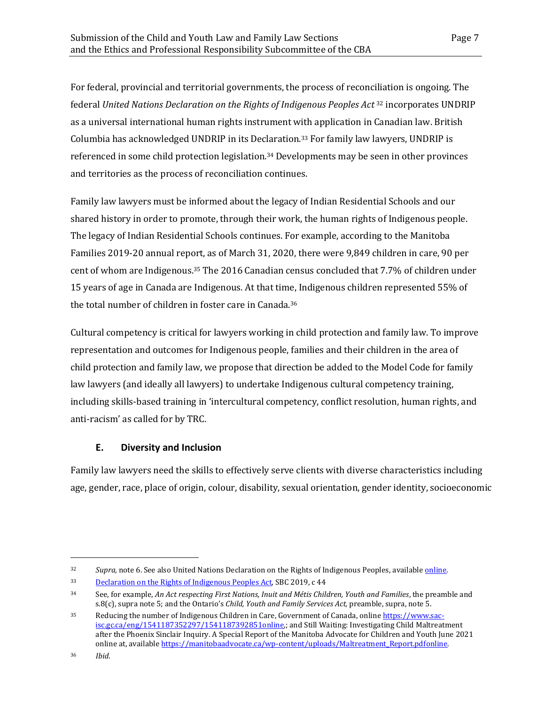For federal, provincial and territorial governments, the process of reconciliation is ongoing. The federal *United Nations Declaration on the Rights of Indigenous Peoples Act* <sup>32</sup> incorporates UNDRIP as a universal international human rights instrument with application in Canadian law. British Columbia has acknowledged UNDRIP in its Declaration. <sup>33</sup> For family law lawyers, UNDRIP is referenced in some child protection legislation. <sup>34</sup> Developments may be seen in other provinces and territories as the process of reconciliation continues.

Family law lawyers must be informed about the legacy of Indian Residential Schools and our shared history in order to promote, through their work, the human rights of Indigenous people. The legacy of Indian Residential Schools continues. For example, according to the Manitoba Families 2019-20 annual report, as of March 31, 2020, there were 9,849 children in care, 90 per cent of whom are Indigenous.<sup>35</sup> The 2016 Canadian census concluded that 7.7% of children under 15 years of age in Canada are Indigenous. At that time, Indigenous children represented 55% of the total number of children in foster care in Canada.<sup>36</sup>

Cultural competency is critical for lawyers working in child protection and family law. To improve representation and outcomes for Indigenous people, families and their children in the area of child protection and family law, we propose that direction be added to the Model Code for family law lawyers (and ideally all lawyers) to undertake Indigenous cultural competency training, including skills-based training in 'intercultural competency, conflict resolution, human rights, and anti-racism' as called for by TRC.

### <span id="page-10-0"></span>**E. Diversity and Inclusion**

Family law lawyers need the skills to effectively serve clients with diverse characteristics including age, gender, race, place of origin, colour, disability, sexual orientation, gender identity, socioeconomic

<sup>32</sup> *Supra,* note 6. See also United Nations Declaration on the Rights of Indigenous Peoples, availabl[e online.](https://www.un.org/development/desa/indigenouspeoples/wp-content/uploads/sites/19/2018/11/UNDRIP_E_web.pdf)

<sup>33</sup> [Declaration on the Rights of Indigenous Peoples Act,](https://www.bclaws.gov.bc.ca/civix/document/id/complete/statreg/19044) SBC 2019, c 44

<sup>34</sup> See, for example, *An Act respecting First Nations, Inuit and Métis Children, Youth and Families*, the preamble and s.8(c), supra note 5; and the Ontario's *Child, Youth and Family Services Act,* preamble, supra, note 5.

<sup>35</sup> Reducing the number of Indigenous Children in Care, Government of Canada, onlin[e https://www.sac](https://www.sac-isc.gc.ca/eng/1541187352297/1541187392851)[isc.gc.ca/eng/1541187352297/1541187392851online,](https://www.sac-isc.gc.ca/eng/1541187352297/1541187392851); and Still Waiting: Investigating Child Maltreatment after the Phoenix Sinclair Inquiry. A Special Report of the Manitoba Advocate for Children and Youth June 2021 online at, available https://manitobaadvocate.ca/wp-content/uploads/Maltreatment\_Report.pdfonline.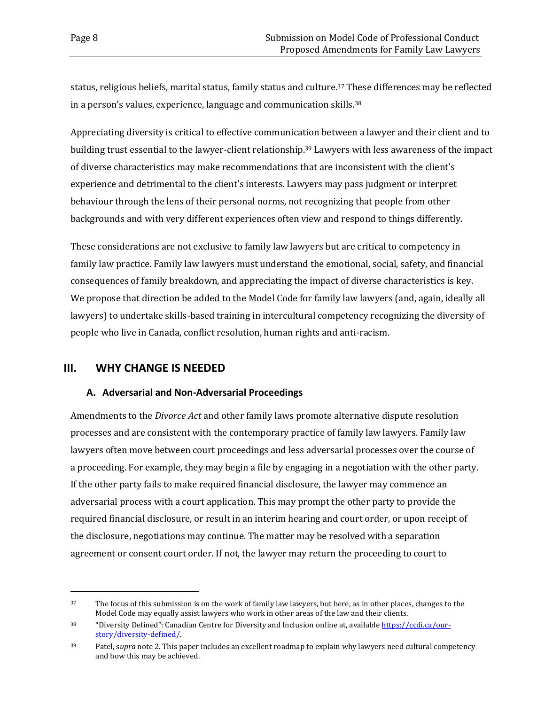status, religious beliefs, marital status, family status and culture.<sup>37</sup> These differences may be reflected in a person's values, experience, language and communication skills.<sup>38</sup>

Appreciating diversity is critical to effective communication between a lawyer and their client and to building trust essential to the lawyer-client relationship. <sup>39</sup> Lawyers with less awareness of the impact of diverse characteristics may make recommendations that are inconsistent with the client's experience and detrimental to the client's interests. Lawyers may pass judgment or interpret behaviour through the lens of their personal norms, not recognizing that people from other backgrounds and with very different experiences often view and respond to things differently.

These considerations are not exclusive to family law lawyers but are critical to competency in family law practice. Family law lawyers must understand the emotional, social, safety, and financial consequences of family breakdown, and appreciating the impact of diverse characteristics is key. We propose that direction be added to the Model Code for family law lawyers (and, again, ideally all lawyers) to undertake skills-based training in intercultural competency recognizing the diversity of people who live in Canada, conflict resolution, human rights and anti-racism.

### <span id="page-11-0"></span>**III. WHY CHANGE IS NEEDED**

#### <span id="page-11-1"></span>**A. Adversarial and Non-Adversarial Proceedings**

Amendments to the *Divorce Act* and other family laws promote alternative dispute resolution processes and are consistent with the contemporary practice of family law lawyers. Family law lawyers often move between court proceedings and less adversarial processes over the course of a proceeding. For example, they may begin a file by engaging in a negotiation with the other party. If the other party fails to make required financial disclosure, the lawyer may commence an adversarial process with a court application. This may prompt the other party to provide the required financial disclosure, or result in an interim hearing and court order, or upon receipt of the disclosure, negotiations may continue. The matter may be resolved with a separation agreement or consent court order. If not, the lawyer may return the proceeding to court to

<sup>&</sup>lt;sup>37</sup> The focus of this submission is on the work of family law lawyers, but here, as in other places, changes to the Model Code may equally assist lawyers who work in other areas of the law and their clients.

<sup>38</sup> "Diversity Defined": Canadian Centre for Diversity and Inclusion online at, available [https://ccdi.ca/our](https://ccdi.ca/our-story/diversity-defined/)[story/diversity-defined/.](https://ccdi.ca/our-story/diversity-defined/)

<sup>39</sup> Patel, s*upra* note 2. This paper includes an excellent roadmap to explain why lawyers need cultural competency and how this may be achieved.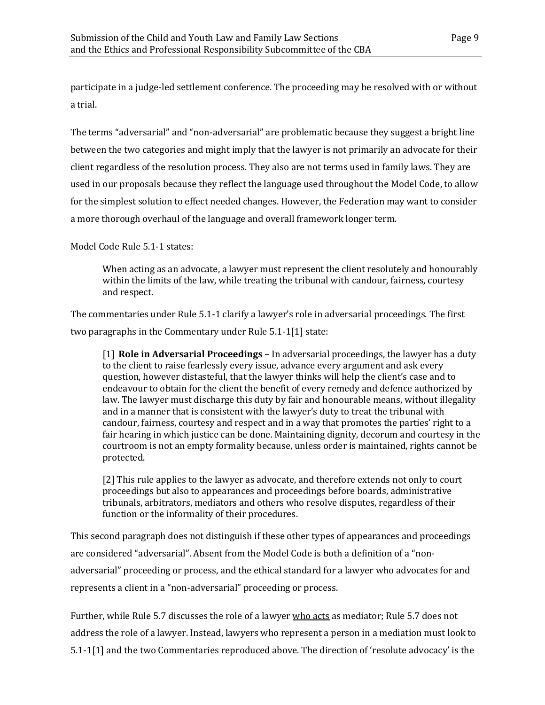participate in a judge-led settlement conference. The proceeding may be resolved with or without a trial.

The terms "adversarial" and "non-adversarial" are problematic because they suggest a bright line between the two categories and might imply that the lawyer is not primarily an advocate for their client regardless of the resolution process. They also are not terms used in family laws. They are used in our proposals because they reflect the language used throughout the Model Code, to allow for the simplest solution to effect needed changes. However, the Federation may want to consider a more thorough overhaul of the language and overall framework longer term.

Model Code Rule 5.1-1 states:

When acting as an advocate, a lawyer must represent the client resolutely and honourably within the limits of the law, while treating the tribunal with candour, fairness, courtesy and respect.

The commentaries under Rule 5.1-1 clarify a lawyer's role in adversarial proceedings. The first two paragraphs in the Commentary under Rule 5.1-1[1] state:

[1] **Role in Adversarial Proceedings** – In adversarial proceedings, the lawyer has a duty to the client to raise fearlessly every issue, advance every argument and ask every question, however distasteful, that the lawyer thinks will help the client's case and to endeavour to obtain for the client the benefit of every remedy and defence authorized by law. The lawyer must discharge this duty by fair and honourable means, without illegality and in a manner that is consistent with the lawyer's duty to treat the tribunal with candour, fairness, courtesy and respect and in a way that promotes the parties' right to a fair hearing in which justice can be done. Maintaining dignity, decorum and courtesy in the courtroom is not an empty formality because, unless order is maintained, rights cannot be protected.

[2] This rule applies to the lawyer as advocate, and therefore extends not only to court proceedings but also to appearances and proceedings before boards, administrative tribunals, arbitrators, mediators and others who resolve disputes, regardless of their function or the informality of their procedures.

This second paragraph does not distinguish if these other types of appearances and proceedings are considered "adversarial". Absent from the Model Code is both a definition of a "nonadversarial" proceeding or process, and the ethical standard for a lawyer who advocates for and represents a client in a "non-adversarial" proceeding or process.

Further, while Rule 5.7 discusses the role of a lawyer who acts as mediator; Rule 5.7 does not address the role of a lawyer. Instead, lawyers who represent a person in a mediation must look to 5.1-1[1] and the two Commentaries reproduced above. The direction of 'resolute advocacy' is the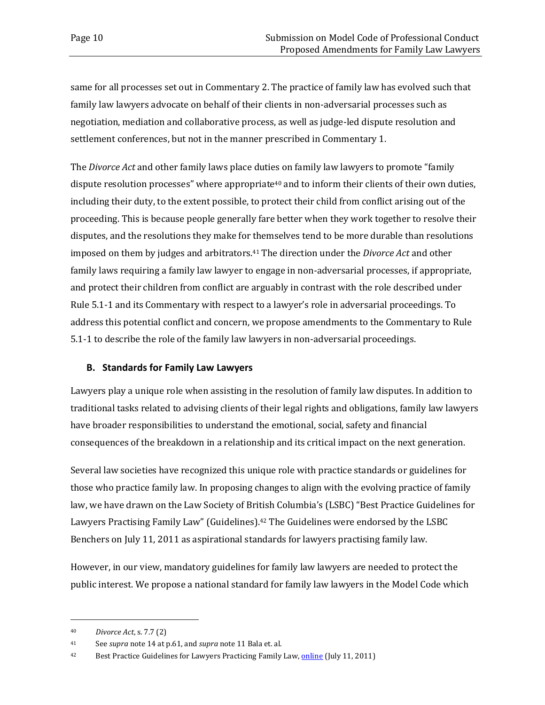same for all processes set out in Commentary 2. The practice of family law has evolved such that family law lawyers advocate on behalf of their clients in non-adversarial processes such as negotiation, mediation and collaborative process, as well as judge-led dispute resolution and settlement conferences, but not in the manner prescribed in Commentary 1.

The *Divorce Act* and other family laws place duties on family law lawyers to promote "family dispute resolution processes" where appropriate<sup>40</sup> and to inform their clients of their own duties, including their duty, to the extent possible, to protect their child from conflict arising out of the proceeding. This is because people generally fare better when they work together to resolve their disputes, and the resolutions they make for themselves tend to be more durable than resolutions imposed on them by judges and arbitrators.<sup>41</sup> The direction under the *Divorce Act* and other family laws requiring a family law lawyer to engage in non-adversarial processes, if appropriate, and protect their children from conflict are arguably in contrast with the role described under Rule 5.1-1 and its Commentary with respect to a lawyer's role in adversarial proceedings. To address this potential conflict and concern, we propose amendments to the Commentary to Rule 5.1-1 to describe the role of the family law lawyers in non-adversarial proceedings.

#### <span id="page-13-0"></span>**B. Standards for Family Law Lawyers**

Lawyers play a unique role when assisting in the resolution of family law disputes. In addition to traditional tasks related to advising clients of their legal rights and obligations, family law lawyers have broader responsibilities to understand the emotional, social, safety and financial consequences of the breakdown in a relationship and its critical impact on the next generation.

Several law societies have recognized this unique role with practice standards or guidelines for those who practice family law. In proposing changes to align with the evolving practice of family law, we have drawn on the Law Society of British Columbia's (LSBC) "Best Practice Guidelines for Lawyers Practising Family Law" (Guidelines).<sup>42</sup> The Guidelines were endorsed by the LSBC Benchers on July 11, 2011 as aspirational standards for lawyers practising family law.

However, in our view, mandatory guidelines for family law lawyers are needed to protect the public interest. We propose a national standard for family law lawyers in the Model Code which

<sup>40</sup> *Divorce Act*, s. 7.7 (2)

<sup>41</sup> See *supra* note 14 at p.61, and *supra* note 11 Bala et. al.

<sup>&</sup>lt;sup>42</sup> Best Practice Guidelines for Lawyers Practicing Family Law, **online** (July 11, 2011)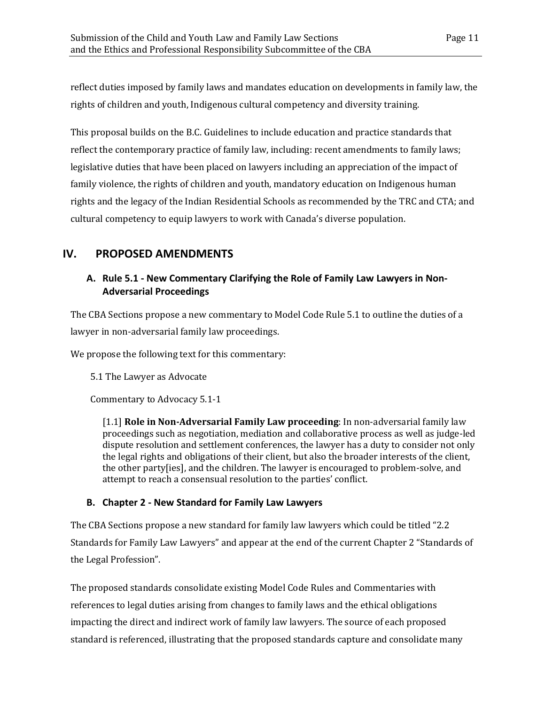reflect duties imposed by family laws and mandates education on developments in family law, the rights of children and youth, Indigenous cultural competency and diversity training.

This proposal builds on the B.C. Guidelines to include education and practice standards that reflect the contemporary practice of family law, including: recent amendments to family laws; legislative duties that have been placed on lawyers including an appreciation of the impact of family violence, the rights of children and youth, mandatory education on Indigenous human rights and the legacy of the Indian Residential Schools as recommended by the TRC and CTA; and cultural competency to equip lawyers to work with Canada's diverse population.

## <span id="page-14-0"></span>**IV. PROPOSED AMENDMENTS**

## <span id="page-14-1"></span>**A. Rule 5.1 - New Commentary Clarifying the Role of Family Law Lawyers in Non-Adversarial Proceedings**

The CBA Sections propose a new commentary to Model Code Rule 5.1 to outline the duties of a lawyer in non-adversarial family law proceedings.

We propose the following text for this commentary:

5.1 The Lawyer as Advocate

Commentary to Advocacy 5.1-1

[1.1] **Role in Non-Adversarial Family Law proceeding**: In non-adversarial family law proceedings such as negotiation, mediation and collaborative process as well as judge-led dispute resolution and settlement conferences, the lawyer has a duty to consider not only the legal rights and obligations of their client, but also the broader interests of the client, the other party[ies], and the children. The lawyer is encouraged to problem-solve, and attempt to reach a consensual resolution to the parties' conflict.

### <span id="page-14-2"></span>**B. Chapter 2 - New Standard for Family Law Lawyers**

The CBA Sections propose a new standard for family law lawyers which could be titled "2.2 Standards for Family Law Lawyers" and appear at the end of the current Chapter 2 "Standards of the Legal Profession".

The proposed standards consolidate existing Model Code Rules and Commentaries with references to legal duties arising from changes to family laws and the ethical obligations impacting the direct and indirect work of family law lawyers. The source of each proposed standard is referenced, illustrating that the proposed standards capture and consolidate many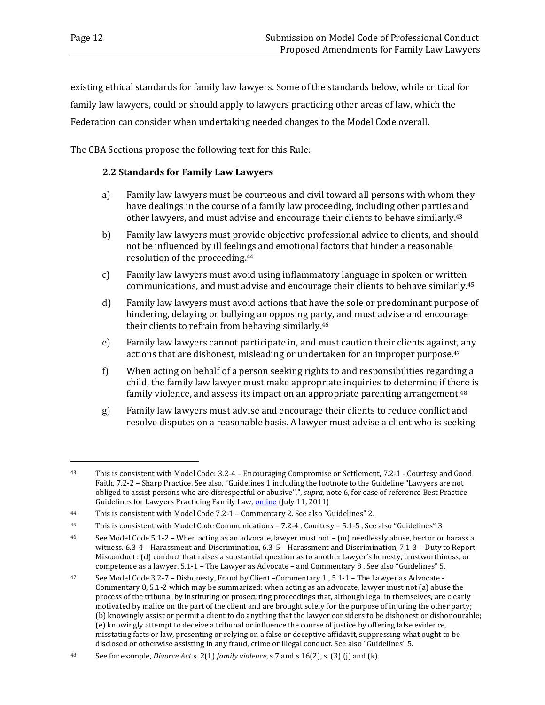existing ethical standards for family law lawyers. Some of the standards below, while critical for family law lawyers, could or should apply to lawyers practicing other areas of law, which the Federation can consider when undertaking needed changes to the Model Code overall.

The CBA Sections propose the following text for this Rule:

#### **2.2 Standards for Family Law Lawyers**

- a) Family law lawyers must be courteous and civil toward all persons with whom they have dealings in the course of a family law proceeding, including other parties and other lawyers, and must advise and encourage their clients to behave similarly. 43
- b) Family law lawyers must provide objective professional advice to clients, and should not be influenced by ill feelings and emotional factors that hinder a reasonable resolution of the proceeding. 44
- c) Family law lawyers must avoid using inflammatory language in spoken or written communications, and must advise and encourage their clients to behave similarly.<sup>45</sup>
- d) Family law lawyers must avoid actions that have the sole or predominant purpose of hindering, delaying or bullying an opposing party, and must advise and encourage their clients to refrain from behaving similarly.<sup>46</sup>
- e) Family law lawyers cannot participate in, and must caution their clients against, any actions that are dishonest, misleading or undertaken for an improper purpose.<sup>47</sup>
- f) When acting on behalf of a person seeking rights to and responsibilities regarding a child, the family law lawyer must make appropriate inquiries to determine if there is family violence, and assess its impact on an appropriate parenting arrangement.<sup>48</sup>
- g) Family law lawyers must advise and encourage their clients to reduce conflict and resolve disputes on a reasonable basis. A lawyer must advise a client who is seeking

<sup>43</sup> This is consistent with Model Code: 3.2-4 – Encouraging Compromise or Settlement, 7.2-1 - Courtesy and Good Faith, 7.2-2 – Sharp Practice. See also, "Guidelines 1 including the footnote to the Guideline "Lawyers are not obliged to assist persons who are disrespectful or abusive".", *supra,* note 6, for ease of reference Best Practice Guidelines for Lawyers Practicing Family Law, [online](https://www.lawsociety.bc.ca/Website/media/Shared/docs/practice/resources/guidelines_family.pdf) (July 11, 2011)

<sup>44</sup> This is consistent with Model Code 7.2-1 – Commentary 2. See also "Guidelines" 2.

<sup>45</sup> This is consistent with Model Code Communications – 7.2-4 , Courtesy – 5.1-5 , See also "Guidelines" 3

<sup>&</sup>lt;sup>46</sup> See Model Code 5.1-2 – When acting as an advocate, lawyer must not – (m) needlessly abuse, hector or harass a witness. 6.3-4 – Harassment and Discrimination, 6.3-5 – Harassment and Discrimination, 7.1-3 – Duty to Report Misconduct : (d) conduct that raises a substantial question as to another lawyer's honesty, trustworthiness, or competence as a lawyer. 5.1-1 – The Lawyer as Advocate – and Commentary 8 . See also "Guidelines" 5.

<sup>47</sup> See Model Code 3.2-7 – Dishonesty, Fraud by Client –Commentary 1 , 5.1-1 – The Lawyer as Advocate - Commentary 8, 5.1-2 which may be summarized: when acting as an advocate, lawyer must not (a) abuse the process of the tribunal by instituting or prosecuting proceedings that, although legal in themselves, are clearly motivated by malice on the part of the client and are brought solely for the purpose of injuring the other party; (b) knowingly assist or permit a client to do anything that the lawyer considers to be dishonest or dishonourable; (e) knowingly attempt to deceive a tribunal or influence the course of justice by offering false evidence, misstating facts or law, presenting or relying on a false or deceptive affidavit, suppressing what ought to be disclosed or otherwise assisting in any fraud, crime or illegal conduct. See also "Guidelines" 5.

<sup>48</sup> See for example, *Divorce Act* s. 2(1) *family violence*, s.7 and s.16(2), s. (3) (j) and (k).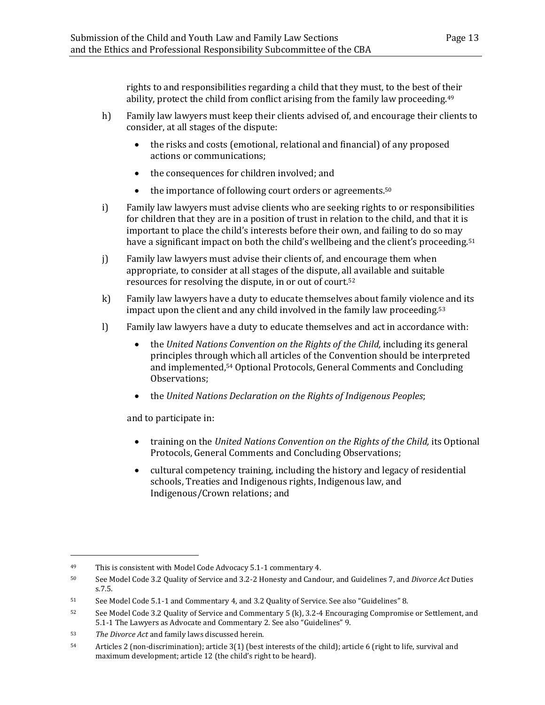rights to and responsibilities regarding a child that they must, to the best of their ability, protect the child from conflict arising from the family law proceeding.<sup>49</sup>

- h) Family law lawyers must keep their clients advised of, and encourage their clients to consider, at all stages of the dispute:
	- the risks and costs (emotional, relational and financial) of any proposed actions or communications;
	- the consequences for children involved; and
	- the importance of following court orders or agreements.<sup>50</sup>
- i) Family law lawyers must advise clients who are seeking rights to or responsibilities for children that they are in a position of trust in relation to the child, and that it is important to place the child's interests before their own, and failing to do so may have a significant impact on both the child's wellbeing and the client's proceeding.<sup>51</sup>
- j) Family law lawyers must advise their clients of, and encourage them when appropriate, to consider at all stages of the dispute, all available and suitable resources for resolving the dispute, in or out of court.<sup>52</sup>
- k) Family law lawyers have a duty to educate themselves about family violence and its impact upon the client and any child involved in the family law proceeding. 53
- l) Family law lawyers have a duty to educate themselves and act in accordance with:
	- the *United Nations Convention on the Rights of the Child,* including its general principles through which all articles of the Convention should be interpreted and implemented, <sup>54</sup> Optional Protocols, General Comments and Concluding Observations;
	- the *United Nations Declaration on the Rights of Indigenous Peoples*;

and to participate in:

- training on the *United Nations Convention on the Rights of the Child,* its Optional Protocols, General Comments and Concluding Observations;
- cultural competency training, including the history and legacy of residential schools, Treaties and Indigenous rights, Indigenous law, and Indigenous/Crown relations; and

<sup>49</sup> This is consistent with Model Code Advocacy 5.1-1 commentary 4.

<sup>50</sup> See Model Code 3.2 Quality of Service and 3.2-2 Honesty and Candour, and Guidelines 7, and *Divorce Act* Duties s.7.5.

<sup>51</sup> See Model Code 5.1-1 and Commentary 4, and 3.2 Quality of Service. See also "Guidelines" 8.

<sup>52</sup> See Model Code 3.2 Quality of Service and Commentary 5 (k), 3.2-4 Encouraging Compromise or Settlement, and 5.1-1 The Lawyers as Advocate and Commentary 2. See also "Guidelines" 9.

<sup>53</sup> *The Divorce Act* and family laws discussed herein.

<sup>54</sup> Articles 2 (non-discrimination); article 3(1) (best interests of the child); article 6 (right to life, survival and maximum development; article 12 (the child's right to be heard).